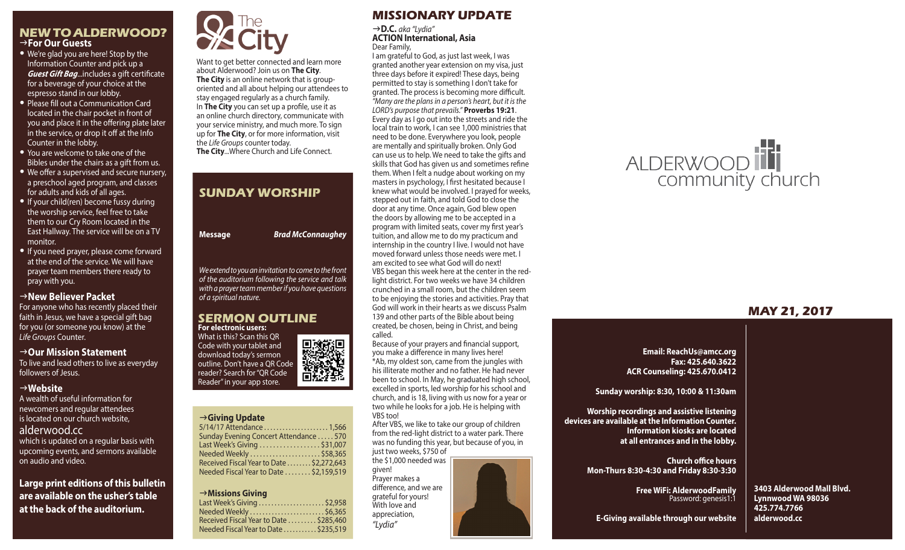#### **NEW TO ALDERWOOD?** g**For Our Guests**

- We're glad you are here! Stop by the Information Counter and pick up a *Guest Gift Bag*...includes a gift certificate for a beverage of your choice at the espresso stand in our lobby.
- Please fill out a Communication Card located in the chair pocket in front of you and place it in the offering plate later in the service, or drop it off at the Info Counter in the lobby.
- You are welcome to take one of the Bibles under the chairs as a gift from us.
- We offer a supervised and secure nursery, a preschool aged program, and classes for adults and kids of all ages.
- If your child(ren) become fussy during the worship service, feel free to take them to our Cry Room located in the East Hallway. The service will be on a TV monitor.
- If you need prayer, please come forward at the end of the service. We will have prayer team members there ready to pray with you.

#### g**New Believer Packet**

For anyone who has recently placed their faith in Jesus, we have a special gift bag for you (or someone you know) at the *Life Groups* Counter.

#### g**Our Mission Statement**

To live and lead others to live as everyday followers of Jesus.

#### g**Website**

A wealth of useful information for newcomers and regular attendees is located on our church website, alderwood.cc which is updated on a regular basis with upcoming events, and sermons available on audio and video.

**Large print editions of this bulletin are available on the usher's table at the back of the auditorium.**



Want to get better connected and learn more about Alderwood? Join us on **The City**. **The City** is an online network that is grouporiented and all about helping our attendees to stay engaged regularly as a church family. In **The City** you can set up a profile, use it as an online church directory, communicate with your service ministry, and much more. To sign up for **The City**, or for more information, visit the *Life Groups* counter today. **The City**...Where Church and Life Connect.

## **SUNDAY WORSHIP**

**Message** *Brad McConnaughey*

*We extend to you an invitation to come to the front of the auditorium following the service and talk with a prayer team member if you have questions of a spiritual nature.*

#### **SERMON OUTLINE For electronic users:**



#### g**Giving Update**

#### g**Missions Giving**

| Last Week's Giving \$2,958             |  |
|----------------------------------------|--|
| Needed Weekly \$6,365                  |  |
| Received Fiscal Year to Date \$285,460 |  |
| Needed Fiscal Year to Date  \$235,519  |  |
|                                        |  |

## **MISSIONARY UPDATE**

#### g**D.C.** *aka "Lydia"* **ACTION International, Asia** Dear Family,

I am grateful to God, as just last week, I was granted another year extension on my visa, just three days before it expired! These days, being permitted to stay is something I don't take for granted. The process is becoming more difficult. *"Many are the plans in a person's heart, but it is the LORD's purpose that prevails."* **Proverbs 19:21**. Every day as I go out into the streets and ride the local train to work, I can see 1,000 ministries that need to be done. Everywhere you look, people are mentally and spiritually broken. Only God can use us to help. We need to take the gifts and skills that God has given us and sometimes refine them. When I felt a nudge about working on my masters in psychology, I first hesitated because I knew what would be involved. I prayed for weeks, stepped out in faith, and told God to close the door at any time. Once again, God blew open the doors by allowing me to be accepted in a program with limited seats, cover my first year's tuition, and allow me to do my practicum and internship in the country I live. I would not have moved forward unless those needs were met. I am excited to see what God will do next! VBS began this week here at the center in the redlight district. For two weeks we have 34 children crunched in a small room, but the children seem to be enjoying the stories and activities. Pray that God will work in their hearts as we discuss Psalm 139 and other parts of the Bible about being created, be chosen, being in Christ, and being called.

Because of your prayers and financial support, you make a difference in many lives here! \*Ab, my oldest son, came from the jungles with his illiterate mother and no father. He had never been to school. In May, he graduated high school, excelled in sports, led worship for his school and church, and is 18, living with us now for a year or two while he looks for a job. He is helping with VBS too!

After VBS, we like to take our group of children from the red-light district to a water park. There was no funding this year, but because of you, in just two weeks, \$750 of

the \$1,000 needed was given! Prayer makes a

difference, and we are grateful for yours! With love and appreciation, *"Lydia"*



# ALDERWOOD

# **MAY 21, 2017**

**Email: ReachUs@amcc.org Fax: 425.640.3622 ACR Counseling: 425.670.0412**

**Sunday worship: 8:30, 10:00 & 11:30am**

**Worship recordings and assistive listening devices are available at the Information Counter. Information kiosks are located at all entrances and in the lobby.**

> **Church office hours Mon-Thurs 8:30-4:30 and Friday 8:30-3:30**

**E-Giving available through our website**

**Free WiFi: AlderwoodFamily**  Password: genesis1:1

**3403 Alderwood Mall Blvd. Lynnwood WA 98036 425.774.7766 alderwood.cc**